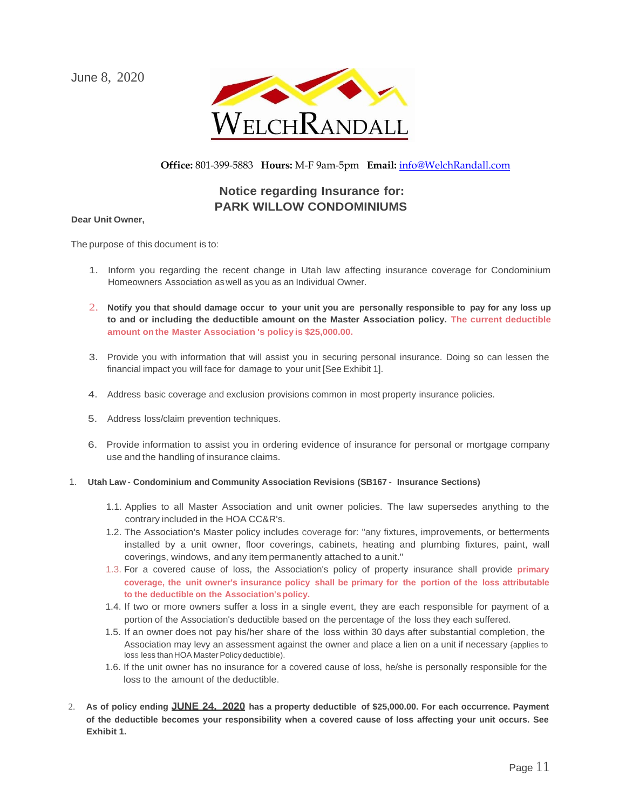June 8, 2020



## **Office:** 801-399-5883 **Hours:** M-F 9am-5pm **Email:** [info@WelchRandall.com](mailto:info@WelchRandall.com)

## **Notice regarding Insurance for: PARK WILLOW CONDOMINIUMS**

#### **Dear Unit Owner,**

The purpose of this document is to:

- 1. Inform you regarding the recent change in Utah law affecting insurance coverage for Condominium Homeowners Association aswell as you as an Individual Owner.
- 2. **Notify you that should damage occur to your unit you are personally responsible to pay for any loss up to and or including the deductible amount on the Master Association policy. The current deductible amount onthe Master Association 's policy is \$25,000.00.**
- 3. Provide you with information that will assist you in securing personal insurance. Doing so can lessen the financial impact you will face for damage to your unit [See Exhibit 1].
- 4. Address basic coverage and exclusion provisions common in most property insurance policies.
- 5. Address loss/claim prevention techniques.
- 6. Provide information to assist you in ordering evidence of insurance for personal or mortgage company use and the handling of insurance claims.
- 1. **Utah Law Condominium and Community Association Revisions (SB167 Insurance Sections)**
	- 1.1. Applies to all Master Association and unit owner policies. The law supersedes anything to the contrary included in the HOA CC&R's.
	- 1.2. The Association's Master policy includes coverage for: "any fixtures, improvements, or betterments installed by a unit owner, floor coverings, cabinets, heating and plumbing fixtures, paint, wall coverings, windows, and any item permanently attached to a unit."
	- 1.3. For a covered cause of loss, the Association's policy of property insurance shall provide **primary coverage, the unit owner's insurance policy shall be primary for the portion of the loss attributable to the deductible on the Association'spolicy.**
	- 1.4. If two or more owners suffer a loss in a single event, they are each responsible for payment of a portion of the Association's deductible based on the percentage of the loss they each suffered.
	- 1.5. If an owner does not pay his/her share of the loss within 30 days after substantial completion, the Association may levy an assessment against the owner and place a lien on a unit if necessary {applies to loss less than HOA Master Policy deductible).
	- 1.6. If the unit owner has no insurance for a covered cause of loss, he/she is personally responsible for the loss to the amount of the deductible.
- 2. **As of policy ending JUNE 24, 2020 has a property deductible of \$25,000.00. For each occurrence. Payment of the deductible becomes your responsibility when a covered cause of loss affecting your unit occurs. See Exhibit 1.**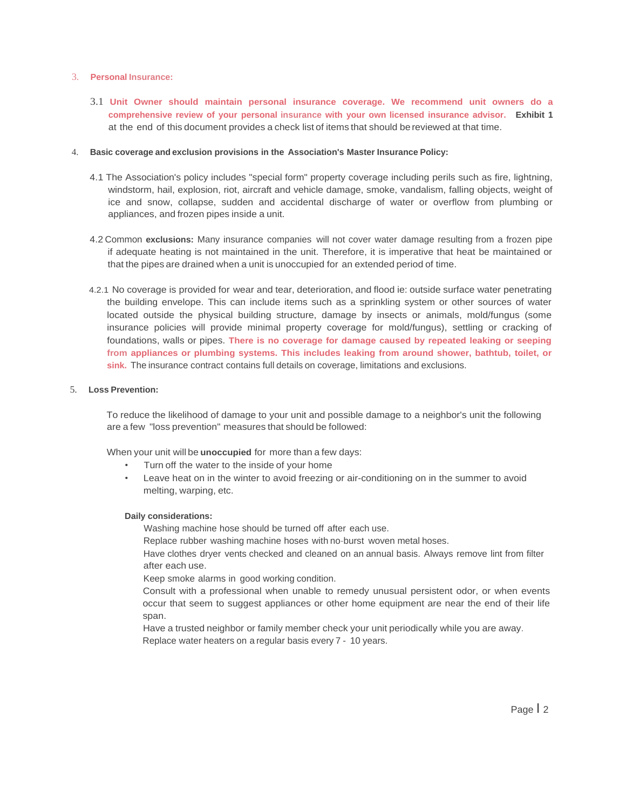#### 3. **Personal Insurance:**

3.1 **Unit Owner should maintain personal insurance coverage. We recommend unit owners do a comprehensive review of your personal insurance with your own licensed insurance advisor. Exhibit 1** at the end of this document provides a check list of items that should be reviewed at that time.

#### 4. **Basic coverage and exclusion provisions in the Association's Master Insurance Policy:**

- 4.1 The Association's policy includes "special form" property coverage including perils such as fire, lightning, windstorm, hail, explosion, riot, aircraft and vehicle damage, smoke, vandalism, falling objects, weight of ice and snow, collapse, sudden and accidental discharge of water or overflow from plumbing or appliances, and frozen pipes inside a unit.
- 4.2 Common **exclusions:** Many insurance companies will not cover water damage resulting from a frozen pipe if adequate heating is not maintained in the unit. Therefore, it is imperative that heat be maintained or that the pipes are drained when a unit is unoccupied for an extended period of time.
- 4.2.1 No coverage is provided for wear and tear, deterioration, and flood ie: outside surface water penetrating the building envelope. This can include items such as a sprinkling system or other sources of water located outside the physical building structure, damage by insects or animals, mold/fungus (some insurance policies will provide minimal property coverage for mold/fungus), settling or cracking of foundations, walls or pipes. **There is no coverage for damage caused by repeated leaking or seeping from appliances or plumbing systems. This includes leaking from around shower, bathtub, toilet, or** sink. The insurance contract contains full details on coverage, limitations and exclusions.

#### 5. **Loss Prevention:**

To reduce the likelihood of damage to your unit and possible damage to a neighbor's unit the following are a few "loss prevention" measures that should be followed:

When your unit will be **unoccupied** for more than a few days:

- Turn off the water to the inside of your home
- Leave heat on in the winter to avoid freezing or air-conditioning on in the summer to avoid melting, warping, etc.

#### **Daily considerations:**

Washing machine hose should be turned off after each use.

Replace rubber washing machine hoses with no-burst woven metal hoses.

Have clothes dryer vents checked and cleaned on an annual basis. Always remove lint from filter after each use.

Keep smoke alarms in good working condition.

Consult with a professional when unable to remedy unusual persistent odor, or when events occur that seem to suggest appliances or other home equipment are near the end of their life span.

Have a trusted neighbor or family member check your unit periodically while you are away. Replace water heaters on a regular basis every 7 - 10 years.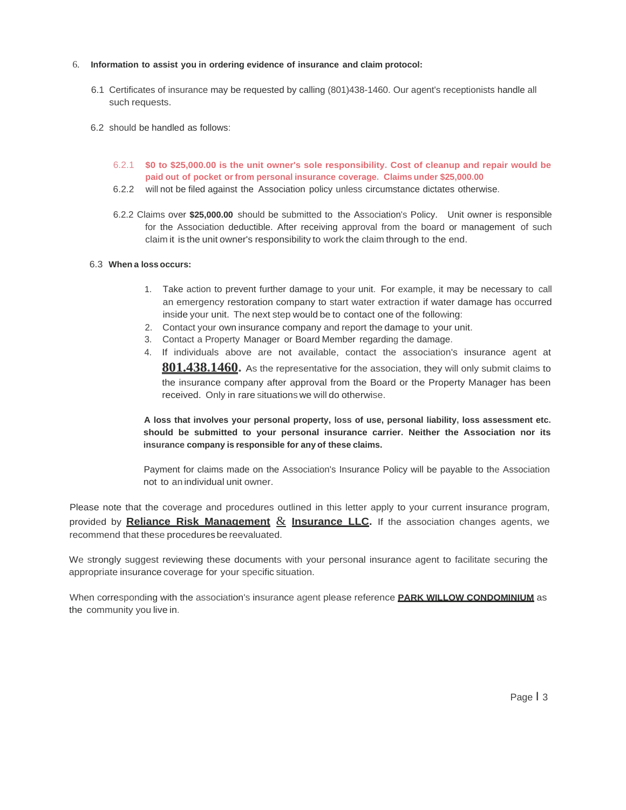#### 6. **Information to assist you in ordering evidence of insurance and claim protocol:**

- 6.1 Certificates of insurance may be requested by calling (801)438-1460. Our agent's receptionists handle all such requests.
- 6.2 should be handled as follows:
	- 6.2.1 **\$0 to \$25,000.00 is the unit owner's sole responsibility. Cost of cleanup and repair would be paid out of pocket or from personal insurance coverage. Claims under \$25,000.00**
	- 6.2.2 will not be filed against the Association policy unless circumstance dictates otherwise.
	- 6.2.2 Claims over **\$25,000.00** should be submitted to the Association's Policy. Unit owner is responsible for the Association deductible. After receiving approval from the board or management of such claim it is the unit owner's responsibility to work the claim through to the end.

#### 6.3 **When a loss occurs:**

- 1. Take action to prevent further damage to your unit. For example, it may be necessary to call an emergency restoration company to start water extraction if water damage has occurred inside your unit. The next step would be to contact one of the following:
- 2. Contact your own insurance company and report the damage to your unit.
- 3. Contact a Property Manager or Board Member regarding the damage.
- 4. If individuals above are not available, contact the association's insurance agent at **801.438.1460.** As the representative for the association, they will only submit claims to the insurance company after approval from the Board or the Property Manager has been received. Only in rare situationswe will do otherwise.

**A loss that involves your personal property, loss of use, personal liability, loss assessment etc. should be submitted to your personal insurance carrier. Neither the Association nor its insurance company is responsible for any of these claims.**

Payment for claims made on the Association's Insurance Policy will be payable to the Association not to an individual unit owner.

Please note that the coverage and procedures outlined in this letter apply to your current insurance program, provided by **Reliance Risk Management** & **Insurance LLC.** If the association changes agents, we recommend that these procedures be reevaluated.

We strongly suggest reviewing these documents with your personal insurance agent to facilitate securing the appropriate insurance coverage for your specific situation.

When corresponding with the association's insurance agent please reference **PARK WILLOW CONDOMINIUM** as the community you live in.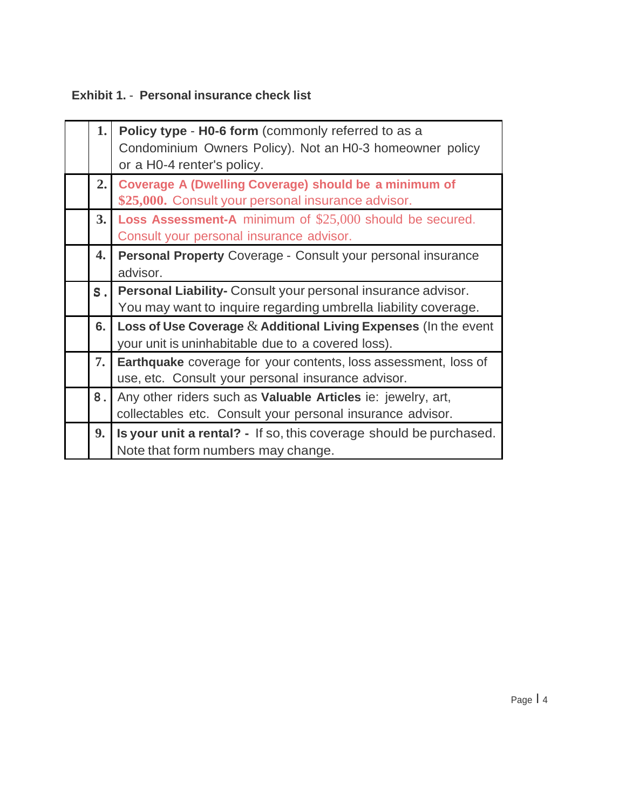## **Exhibit 1.** - **Personal insurance check list**

| 1.    | Policy type - H0-6 form (commonly referred to as a                  |  |  |
|-------|---------------------------------------------------------------------|--|--|
|       | Condominium Owners Policy). Not an H0-3 homeowner policy            |  |  |
|       | or a H0-4 renter's policy.                                          |  |  |
| 2.1   | <b>Coverage A (Dwelling Coverage) should be a minimum of</b>        |  |  |
|       | \$25,000. Consult your personal insurance advisor.                  |  |  |
| 3.1   | <b>Loss Assessment-A</b> minimum of \$25,000 should be secured.     |  |  |
|       | Consult your personal insurance advisor.                            |  |  |
| 4.    | Personal Property Coverage - Consult your personal insurance        |  |  |
|       | advisor.                                                            |  |  |
| $S$ . | Personal Liability- Consult your personal insurance advisor.        |  |  |
|       | You may want to inquire regarding umbrella liability coverage.      |  |  |
| 6.    | Loss of Use Coverage $&$ Additional Living Expenses (In the event   |  |  |
|       | your unit is uninhabitable due to a covered loss).                  |  |  |
| 7.    | Earthquake coverage for your contents, loss assessment, loss of     |  |  |
|       | use, etc. Consult your personal insurance advisor.                  |  |  |
| 8.    | Any other riders such as <b>Valuable Articles</b> ie: jewelry, art, |  |  |
|       | collectables etc. Consult your personal insurance advisor.          |  |  |
| 9.    | Is your unit a rental? - If so, this coverage should be purchased.  |  |  |
|       | Note that form numbers may change.                                  |  |  |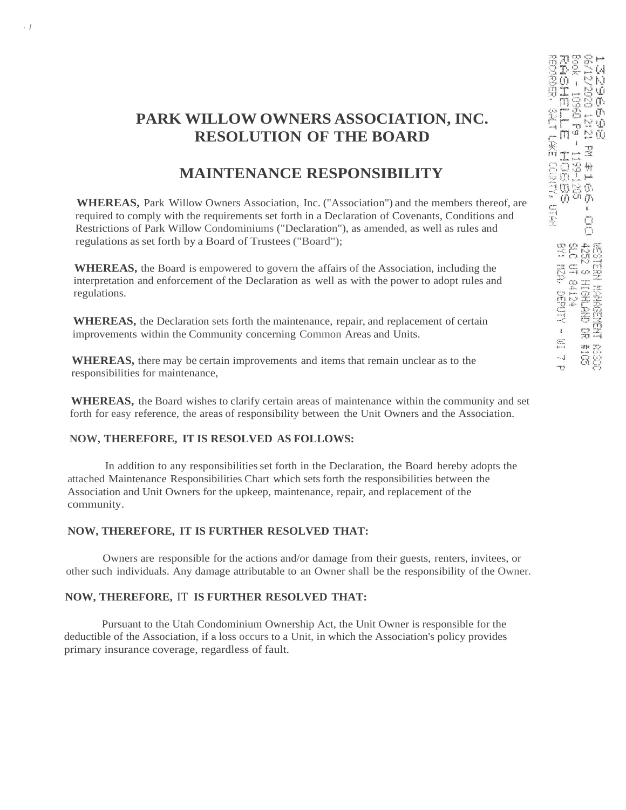# **PARK WILLOW OWNERS ASSOCIATION, INC. RESOLUTION OF THE BOARD**

## **MAINTENANCE RESPONSIBILITY**

**WHEREAS,** Park Willow Owners Association, Inc. ("Association") and the members thereof, are required to comply with the requirements set forth in a Declaration of Covenants, Conditions and Restrictions of Park Willow Condominiums ("Declaration"), as amended, as well as rules and regulations asset forth by a Board of Trustees ("Board");

**WHEREAS,** the Board is empowered to govern the affairs of the Association, including the interpretation and enforcement of the Declaration as well as with the power to adopt rules and regulations.

**WHEREAS,** the Declaration sets forth the maintenance, repair, and replacement of certain improvements within the Community concerning Common Areas and Units.

**WHEREAS,** there may be certain improvements and items that remain unclear as to the responsibilities for maintenance,

**WHEREAS,** the Board wishes to clarify certain areas of maintenance within the community and set forth for easy reference, the areas of responsibility between the Unit Owners and the Association.

### **NOW, THEREFORE, IT IS RESOLVED AS FOLLOWS:**

· *I*

In addition to any responsibilitiesset forth in the Declaration, the Board hereby adopts the attached Maintenance Responsibilities Chart which sets forth the responsibilities between the Association and Unit Owners for the upkeep, maintenance, repair, and replacement of the community.

### **NOW, THEREFORE, IT IS FURTHER RESOLVED THAT:**

Owners are responsible for the actions and/or damage from their guests, renters, invitees, or other such individuals. Any damage attributable to an Owner shall be the responsibility of the Owner.

## **NOW, THEREFORE,** IT **IS FURTHER RESOLVED THAT:**

Pursuant to the Utah Condominium Ownership Act, the Unit Owner is responsible for the deductible of the Association, if a loss occurs to a Unit, in which the Association's policy provides primary insurance coverage, regardless of fault.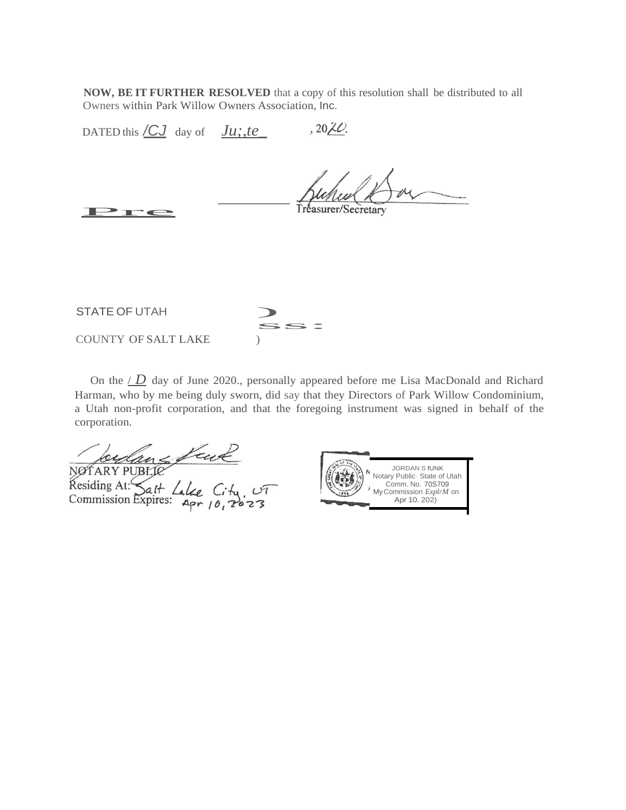**NOW, BE IT FURTHER RESOLVED** that a copy of this resolution shall be distributed to all Owners within Park Willow Owners Association, Inc.

 $,20ZC$ DATED this  $\angle C_J$  day of  $Ju$ ; te\_

Pre

Tréasurer/Secretary

STATE OF UTAH ss: COUNTY OF SALT LAKE )

On the  $\angle D$  day of June 2020., personally appeared before me Lisa MacDonald and Richard Harman, who by me being duly sworn, did say that they Directors of Park Willow Condominium, a Utah non-profit corporation, and that the foregoing instrument was signed in behalf of the corporation.

NOTARY PUBLIC<br>Residing At: Sait Lake City, UT<br>Commission Expires: Apr 10, 2023

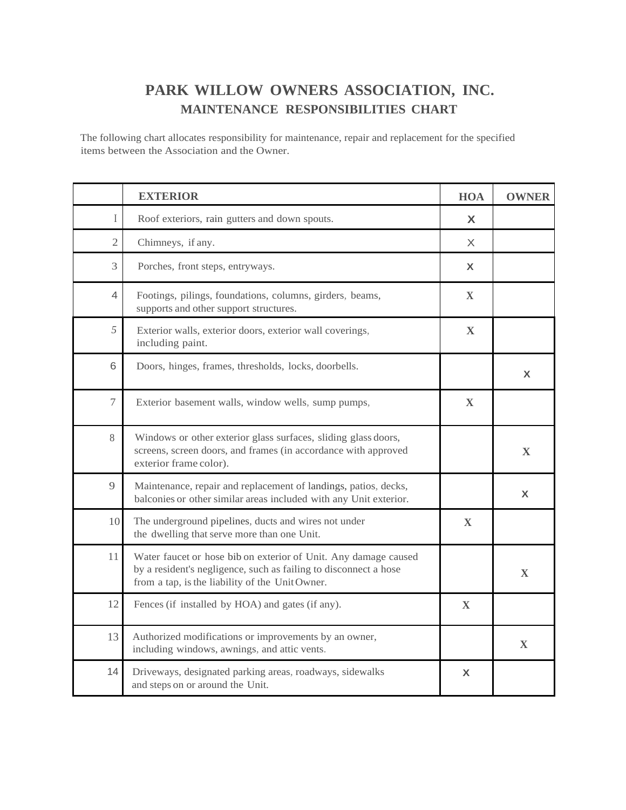# **PARK WILLOW OWNERS ASSOCIATION, INC. MAINTENANCE RESPONSIBILITIES CHART**

The following chart allocates responsibility for maintenance, repair and replacement for the specified items between the Association and the Owner.

|                | <b>EXTERIOR</b>                                                                                                                                                                       | <b>HOA</b>   | <b>OWNER</b> |
|----------------|---------------------------------------------------------------------------------------------------------------------------------------------------------------------------------------|--------------|--------------|
| L              | Roof exteriors, rain gutters and down spouts.                                                                                                                                         | X            |              |
| $\mathfrak{2}$ | Chimneys, if any.                                                                                                                                                                     | X            |              |
| 3              | Porches, front steps, entryways.                                                                                                                                                      | X            |              |
| 4              | Footings, pilings, foundations, columns, girders, beams,<br>supports and other support structures.                                                                                    | $\mathbf X$  |              |
| 5              | Exterior walls, exterior doors, exterior wall coverings,<br>including paint.                                                                                                          | $\mathbf X$  |              |
| 6              | Doors, hinges, frames, thresholds, locks, doorbells.                                                                                                                                  |              | X            |
| $\overline{7}$ | Exterior basement walls, window wells, sump pumps,                                                                                                                                    | $\mathbf X$  |              |
| 8              | Windows or other exterior glass surfaces, sliding glass doors,<br>screens, screen doors, and frames (in accordance with approved<br>exterior frame color).                            |              | $\mathbf{X}$ |
| 9              | Maintenance, repair and replacement of landings, patios, decks,<br>balconies or other similar areas included with any Unit exterior.                                                  |              | X            |
| 10             | The underground pipelines, ducts and wires not under<br>the dwelling that serve more than one Unit.                                                                                   | $\mathbf{X}$ |              |
| 11             | Water faucet or hose bib on exterior of Unit. Any damage caused<br>by a resident's negligence, such as failing to disconnect a hose<br>from a tap, is the liability of the UnitOwner. |              | X            |
| 12             | Fences (if installed by HOA) and gates (if any).                                                                                                                                      | $\mathbf X$  |              |
| 13             | Authorized modifications or improvements by an owner,<br>including windows, awnings, and attic vents.                                                                                 |              | $\mathbf X$  |
| 14             | Driveways, designated parking areas, roadways, sidewalks<br>and steps on or around the Unit.                                                                                          | $\mathbf{x}$ |              |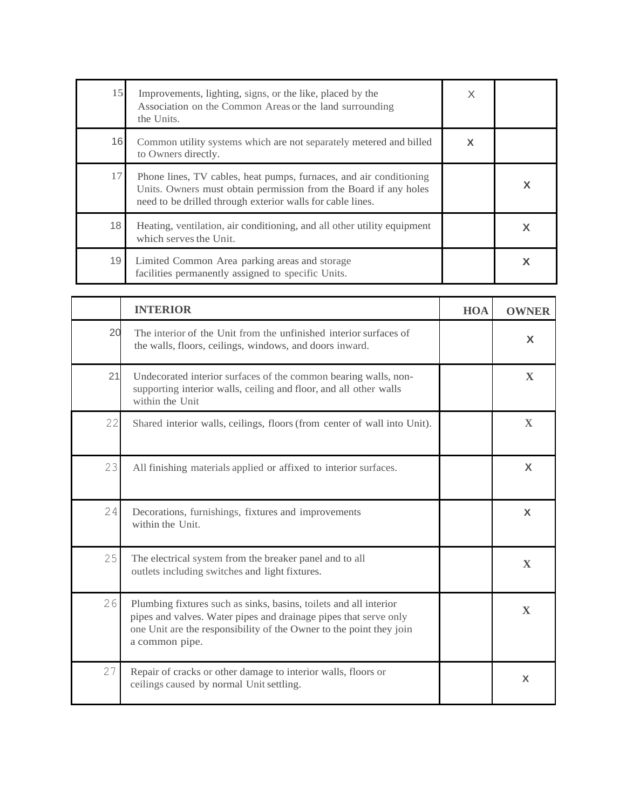| 15 | Improvements, lighting, signs, or the like, placed by the<br>Association on the Common Areas or the land surrounding<br>the Units.                                                                   | X |  |
|----|------------------------------------------------------------------------------------------------------------------------------------------------------------------------------------------------------|---|--|
| 16 | Common utility systems which are not separately metered and billed<br>to Owners directly.                                                                                                            | X |  |
| 17 | Phone lines, TV cables, heat pumps, furnaces, and air conditioning<br>Units. Owners must obtain permission from the Board if any holes<br>need to be drilled through exterior walls for cable lines. |   |  |
| 18 | Heating, ventilation, air conditioning, and all other utility equipment<br>which serves the Unit.                                                                                                    |   |  |
| 19 | Limited Common Area parking areas and storage<br>facilities permanently assigned to specific Units.                                                                                                  |   |  |

|    | <b>INTERIOR</b>                                                                                                                                                                                                                | <b>HOA</b> | <b>OWNER</b>              |
|----|--------------------------------------------------------------------------------------------------------------------------------------------------------------------------------------------------------------------------------|------------|---------------------------|
| 20 | The interior of the Unit from the unfinished interior surfaces of<br>the walls, floors, ceilings, windows, and doors inward.                                                                                                   |            | X                         |
| 21 | Undecorated interior surfaces of the common bearing walls, non-<br>supporting interior walls, ceiling and floor, and all other walls<br>within the Unit                                                                        |            | $\mathbf X$               |
| 22 | Shared interior walls, ceilings, floors (from center of wall into Unit).                                                                                                                                                       |            | X                         |
| 23 | All finishing materials applied or affixed to interior surfaces.                                                                                                                                                               |            | X                         |
| 24 | Decorations, furnishings, fixtures and improvements<br>within the Unit.                                                                                                                                                        |            | $\boldsymbol{\mathsf{X}}$ |
| 25 | The electrical system from the breaker panel and to all<br>outlets including switches and light fixtures.                                                                                                                      |            | $\mathbf{X}$              |
| 26 | Plumbing fixtures such as sinks, basins, toilets and all interior<br>pipes and valves. Water pipes and drainage pipes that serve only<br>one Unit are the responsibility of the Owner to the point they join<br>a common pipe. |            | X                         |
| 27 | Repair of cracks or other damage to interior walls, floors or<br>ceilings caused by normal Unit settling.                                                                                                                      |            | X                         |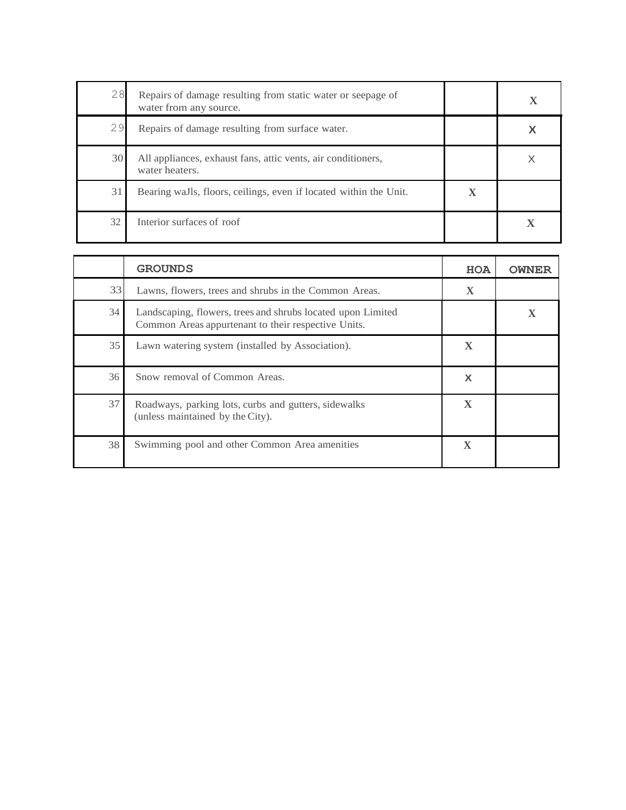| 28 | Repairs of damage resulting from static water or seepage of<br>water from any source. |                        |  |
|----|---------------------------------------------------------------------------------------|------------------------|--|
| 29 | Repairs of damage resulting from surface water.                                       |                        |  |
| 30 | All appliances, exhaust fans, attic vents, air conditioners,<br>water heaters.        |                        |  |
| 31 | Bearing waJls, floors, ceilings, even if located within the Unit.                     | $\boldsymbol{\Lambda}$ |  |
| 32 | Interior surfaces of roof                                                             |                        |  |

|    | <b>GROUNDS</b>                                                                                                     | <b>HOA</b>   | <b>OWNER</b> |
|----|--------------------------------------------------------------------------------------------------------------------|--------------|--------------|
| 33 | Lawns, flowers, trees and shrubs in the Common Areas.                                                              | $\mathbf X$  |              |
| 34 | Landscaping, flowers, trees and shrubs located upon Limited<br>Common Areas appurtenant to their respective Units. |              |              |
| 35 | Lawn watering system (installed by Association).                                                                   | X            |              |
| 36 | Snow removal of Common Areas.                                                                                      | X            |              |
| 37 | Roadways, parking lots, curbs and gutters, sidewalks<br>(unless maintained by the City).                           | X            |              |
| 38 | Swimming pool and other Common Area amenities                                                                      | $\mathbf{X}$ |              |